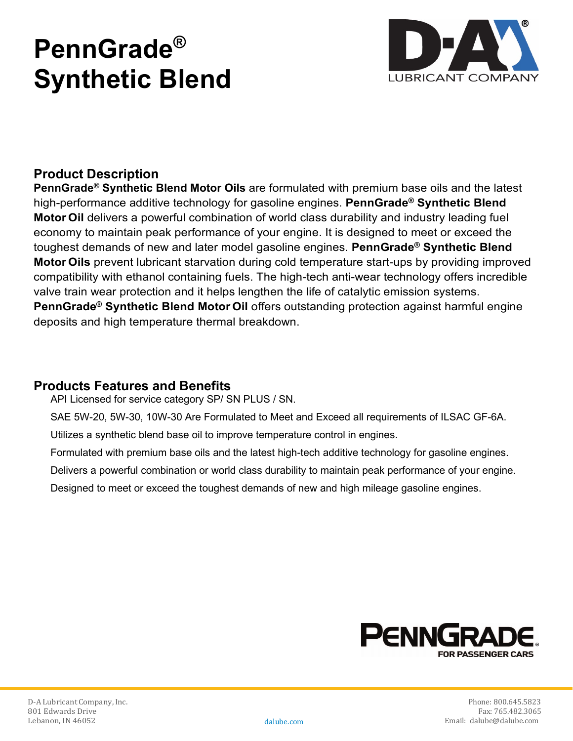# **PennGrade® Synthetic Blend**



## **Product Description**

**PennGrade® Synthetic Blend Motor Oils** are formulated with premium base oils and the latest high-performance additive technology for gasoline engines. **PennGrade® Synthetic Blend Motor Oil** delivers a powerful combination of world class durability and industry leading fuel economy to maintain peak performance of your engine. It is designed to meet or exceed the toughest demands of new and later model gasoline engines. **PennGrade® Synthetic Blend Motor Oils** prevent lubricant starvation during cold temperature start-ups by providing improved compatibility with ethanol containing fuels. The high-tech anti-wear technology offers incredible valve train wear protection and it helps lengthen the life of catalytic emission systems. **PennGrade® Synthetic Blend Motor Oil** offers outstanding protection against harmful engine deposits and high temperature thermal breakdown.

#### **Products Features and Benefits**

API Licensed for service category SP/ SN PLUS / SN.

SAE 5W-20, 5W-30, 10W-30 Are Formulated to Meet and Exceed all requirements of ILSAC GF-6A.

Utilizes a synthetic blend base oil to improve temperature control in engines.

- Formulated with premium base oils and the latest high-tech additive technology for gasoline engines.
- Delivers a powerful combination or world class durability to maintain peak performance of your engine.

Designed to meet or exceed the toughest demands of new and high mileage gasoline engines.